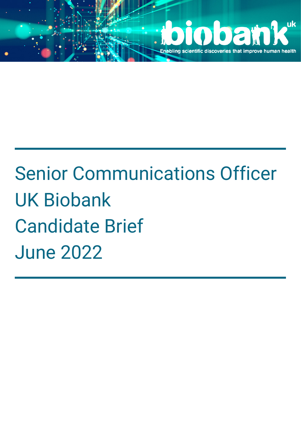

# Senior Communications Officer UK Biobank Candidate Brief June 2022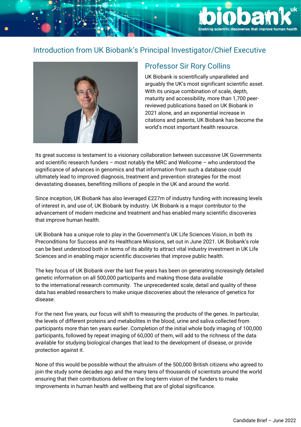# Introduction from UK Biobank's Principal Investigator/Chief Executive



#### Professor Sir Rory Collins

UK Biobank is scientifically unparalleled and arguably the UK's most significant scientific asset. With its unique combination of scale, depth, maturity and accessibility, more than 1,700 peerreviewed publications based on UK Biobank in 2021 alone, and an exponential increase in citations and patents, UK Biobank has become the world's most important health resource.

**Enabling scientific discoveries that impi** 

Its great success is testament to a visionary collaboration between successive UK Governments and scientific research funders – most notably the MRC and Wellcome – who understood the significance of advances in genomics and that information from such a database could ultimately lead to improved diagnosis, treatment and prevention strategies for the most devastating diseases, benefiting millions of people in the UK and around the world.

Since inception, UK Biobank has also leveraged £227m of industry funding with increasing levels of interest in, and use of, UK Biobank by industry. UK Biobank is a major contributor to the advancement of modern medicine and treatment and has enabled many scientific discoveries that improve human health.

UK Biobank has a unique role to play in the Government's UK Life Sciences Vision, in both its Preconditions for Success and its Healthcare Missions, set out in June 2021. UK Biobank's role can be best understood both in terms of its ability to attract vital industry investment in UK Life Sciences and in enabling major scientific discoveries that improve public health.

The key focus of UK Biobank over the last five years has been on generating increasingly detailed genetic information on all 500,000 participants and making those data available to the international research community. The unprecedented scale, detail and quality of these data has enabled researchers to make unique discoveries about the relevance of genetics for disease.

For the next five years, our focus will shift to measuring the products of the genes. In particular, the levels of different proteins and metabolites in the blood, urine and saliva collected from participants more than ten years earlier. Completion of the initial whole body imaging of 100,000 participants, followed by repeat imaging of 60,000 of them, will add to the richness of the data available for studying biological changes that lead to the development of disease, or provide protection against it.

None of this would be possible without the altruism of the 500,000 British citizens who agreed to join the study some decades ago and the many tens of thousands of scientists around the world ensuring that their contributions deliver on the long-term vision of the funders to make improvements in human health and wellbeing that are of global significance.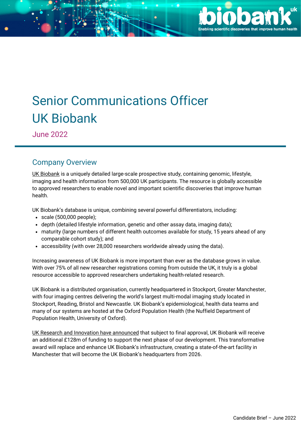

# Senior Communications Officer UK Biobank

June 2022

#### Company Overview

UK [Biobank](https://www.ukbiobank.ac.uk/) is a uniquely detailed large-scale prospective study, containing genomic, lifestyle, imaging and health information from 500,000 UK participants. The resource is globally accessible to approved researchers to enable novel and important scientific discoveries that improve human health.

UK Biobank's database is unique, combining several powerful differentiators, including:

- $\cdot$  scale (500,000 people);
- depth (detailed lifestyle information, genetic and other assay data, imaging data);
- maturity (large numbers of different health outcomes available for study, 15 years ahead of any comparable cohort study); and
- accessibility (with over 28,000 researchers worldwide already using the data).

Increasing awareness of UK Biobank is more important than ever as the database grows in value. With over 75% of all new researcher registrations coming from outside the UK, it truly is a global resource accessible to approved researchers undertaking health-related research.

UK Biobank is a distributed organisation, currently headquartered in Stockport, Greater Manchester, with four imaging centres delivering the world's largest multi-modal imaging study located in Stockport, Reading, Bristol and Newcastle. UK Biobank's epidemiological, health data teams and many of our systems are hosted at the Oxford Population Health (the Nuffield Department of Population Health, University of Oxford).

UK Research and Innovation have [announced](https://www.ukri.org/what-we-offer/creating-world-class-research-and-innovation-infrastructure/funded-infrastructure-projects/) that subject to final approval, UK Biobank will receive an additional £128m of funding to support the next phase of our development. This transformative award will replace and enhance UK Biobank's infrastructure, creating a state-of-the-art facility in Manchester that will become the UK Biobank's headquarters from 2026.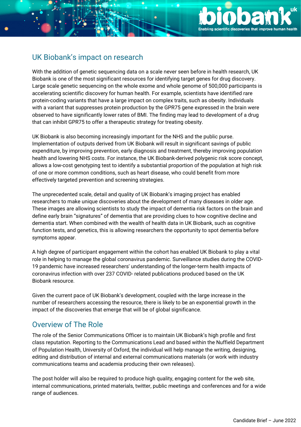

## UK Biobank's impact on research

With the addition of genetic sequencing data on a scale never seen before in health research, UK Biobank is one of the most significant resources for identifying target genes for drug discovery. Large scale genetic sequencing on the whole exome and whole genome of 500,000 participants is accelerating scientific discovery for human health. For example, scientists have identified rare protein-coding variants that have a large impact on complex traits, such as obesity. Individuals with a variant that suppresses protein production by the GPR75 gene expressed in the brain were observed to have significantly lower rates of BMI. The finding may lead to development of a drug that can inhibit GPR75 to offer a therapeutic strategy for treating obesity.

UK Biobank is also becoming increasingly important for the NHS and the public purse. Implementation of outputs derived from UK Biobank will result in significant savings of public expenditure, by improving prevention, early diagnosis and treatment, thereby improving population health and lowering NHS costs. For instance, the UK Biobank-derived polygenic risk score concept, allows a low-cost genotyping test to identify a substantial proportion of the population at high risk of one or more common conditions, such as heart disease, who could benefit from more effectively targeted prevention and screening strategies.

The unprecedented scale, detail and quality of UK Biobank's imaging project has enabled researchers to make unique discoveries about the development of many diseases in older age. These images are allowing scientists to study the impact of dementia risk factors on the brain and define early brain "signatures" of dementia that are providing clues to how cognitive decline and dementia start. When combined with the wealth of health data in UK Biobank, such as cognitive function tests, and genetics, this is allowing researchers the opportunity to spot dementia before symptoms appear.

A high degree of participant engagement within the cohort has enabled UK Biobank to play a vital role in helping to manage the global coronavirus pandemic. Surveillance studies during the COVID-19 pandemic have increased researchers' understanding of the longer-term health impacts of coronavirus infection with over 237 COVID- related publications produced based on the UK Biobank resource.

Given the current pace of UK Biobank's development, coupled with the large increase in the number of researchers accessing the resource, there is likely to be an exponential growth in the impact of the discoveries that emerge that will be of global significance.

#### Overview of The Role

The role of the Senior Communications Officer is to maintain UK Biobank's high profile and first class reputation. Reporting to the Communications Lead and based within the Nuffield Department of Population Health, University of Oxford, the individual will help manage the writing, designing, editing and distribution of internal and external communications materials (or work with industry communications teams and academia producing their own releases).

The post holder will also be required to produce high quality, engaging content for the web site, internal communications, printed materials, twitter, public meetings and conferences and for a wide range of audiences.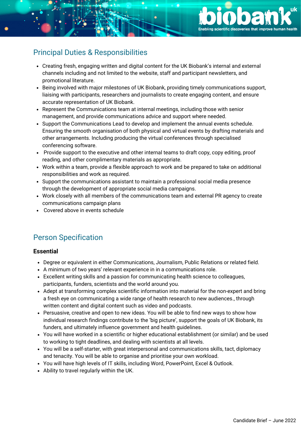

### Principal Duties & Responsibilities

- Creating fresh, engaging written and digital content for the UK Biobank's internal and external channels including and not limited to the website, staff and participant newsletters, and promotional literature.
- Being involved with major milestones of UK Biobank, providing timely communications support, liaising with participants, researchers and journalists to create engaging content, and ensure accurate representation of UK Biobank.
- Represent the Communications team at internal meetings, including those with senior management, and provide communications advice and support where needed.
- Support the Communications Lead to develop and implement the annual events schedule. Ensuring the smooth organisation of both physical and virtual events by drafting materials and other arrangements. Including producing the virtual conferences through specialised conferencing software.
- Provide support to the executive and other internal teams to draft copy, copy editing, proof reading, and other complimentary materials as appropriate.
- Work within a team, provide a flexible approach to work and be prepared to take on additional responsibilities and work as required.
- Support the communications assistant to maintain a professional social media presence through the development of appropriate social media campaigns.
- Work closely with all members of the communications team and external PR agency to create communications campaign plans
- Covered above in events schedule

#### Person Specification

#### **Essential**

- Degree or equivalent in either Communications, Journalism, Public Relations or related field.
- A minimum of two years' relevant experience in in a communications role.
- Excellent writing skills and a passion for communicating health science to colleagues, participants, funders, scientists and the world around you.
- Adept at transforming complex scientific information into material for the non-expert and bring a fresh eye on communicating a wide range of health research to new audiences., through written content and digital content such as video and podcasts.
- Persuasive, creative and open to new ideas. You will be able to find new ways to show how individual research findings contribute to the 'big picture', support the goals of UK Biobank, its funders, and ultimately influence government and health guidelines.
- You will have worked in a scientific or higher educational establishment (or similar) and be used to working to tight deadlines, and dealing with scientists at all levels.
- You will be a self-starter, with great interpersonal and communications skills, tact, diplomacy and tenacity. You will be able to organise and prioritise your own workload.
- You will have high levels of IT skills, including Word, PowerPoint, Excel & Outlook.
- Ability to travel regularly within the UK.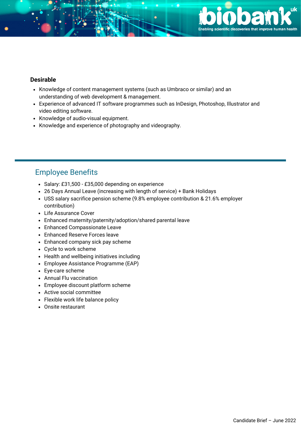

#### **Desirable**

- Knowledge of content management systems (such as Umbraco or similar) and an understanding of web development & management.
- Experience of advanced IT software programmes such as InDesign, Photoshop, Illustrator and video editing software.
- Knowledge of audio-visual equipment.
- Knowledge and experience of photography and videography.

#### Employee Benefits

- Salary: £31,500 £35,000 depending on experience
- 26 Days Annual Leave (increasing with length of service) + Bank Holidays
- USS salary sacrifice pension scheme (9.8% employee contribution & 21.6% employer contribution)
- Life Assurance Cover
- Enhanced maternity/paternity/adoption/shared parental leave
- Enhanced Compassionate Leave
- Enhanced Reserve Forces leave
- Enhanced company sick pay scheme
- Cycle to work scheme
- Health and wellbeing initiatives including
- Employee Assistance Programme (EAP)
- Eye-care scheme
- Annual Flu vaccination
- Employee discount platform scheme
- Active social committee
- Flexible work life balance policy
- Onsite restaurant